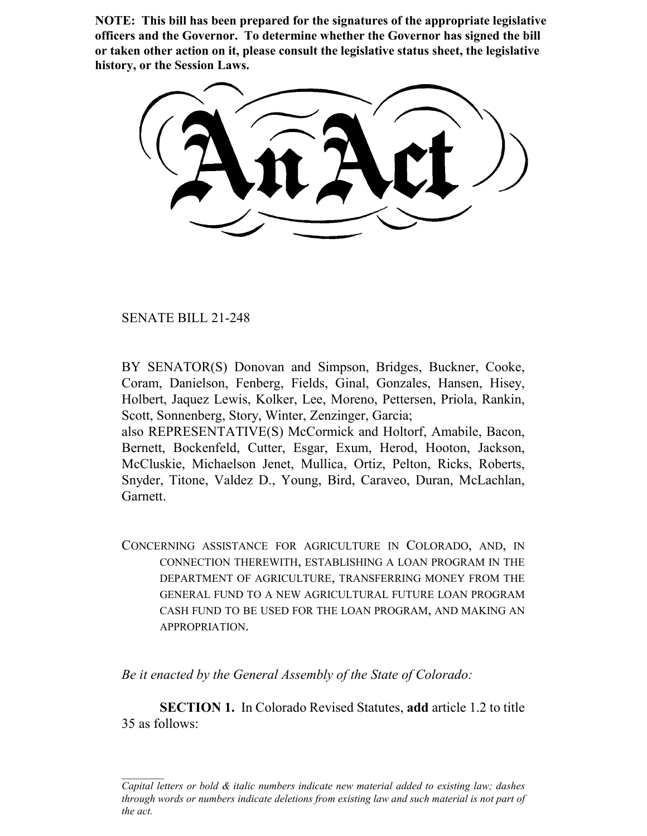**NOTE: This bill has been prepared for the signatures of the appropriate legislative officers and the Governor. To determine whether the Governor has signed the bill or taken other action on it, please consult the legislative status sheet, the legislative history, or the Session Laws.**

SENATE BILL 21-248

BY SENATOR(S) Donovan and Simpson, Bridges, Buckner, Cooke, Coram, Danielson, Fenberg, Fields, Ginal, Gonzales, Hansen, Hisey, Holbert, Jaquez Lewis, Kolker, Lee, Moreno, Pettersen, Priola, Rankin, Scott, Sonnenberg, Story, Winter, Zenzinger, Garcia;

also REPRESENTATIVE(S) McCormick and Holtorf, Amabile, Bacon, Bernett, Bockenfeld, Cutter, Esgar, Exum, Herod, Hooton, Jackson, McCluskie, Michaelson Jenet, Mullica, Ortiz, Pelton, Ricks, Roberts, Snyder, Titone, Valdez D., Young, Bird, Caraveo, Duran, McLachlan, Garnett.

CONCERNING ASSISTANCE FOR AGRICULTURE IN COLORADO, AND, IN CONNECTION THEREWITH, ESTABLISHING A LOAN PROGRAM IN THE DEPARTMENT OF AGRICULTURE, TRANSFERRING MONEY FROM THE GENERAL FUND TO A NEW AGRICULTURAL FUTURE LOAN PROGRAM CASH FUND TO BE USED FOR THE LOAN PROGRAM, AND MAKING AN APPROPRIATION.

*Be it enacted by the General Assembly of the State of Colorado:*

**SECTION 1.** In Colorado Revised Statutes, **add** article 1.2 to title 35 as follows:

*Capital letters or bold & italic numbers indicate new material added to existing law; dashes through words or numbers indicate deletions from existing law and such material is not part of the act.*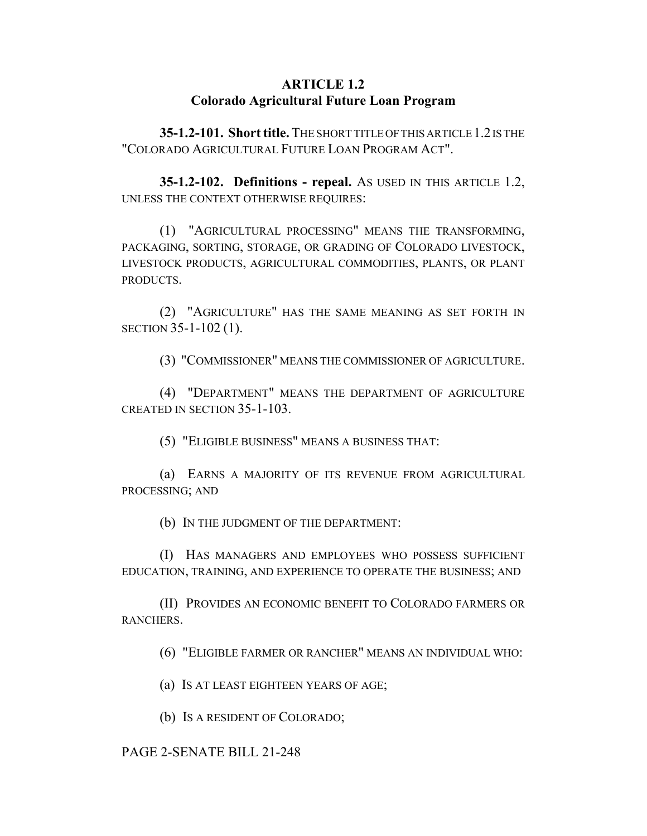# **ARTICLE 1.2 Colorado Agricultural Future Loan Program**

**35-1.2-101. Short title.** THE SHORT TITLE OF THIS ARTICLE 1.2 IS THE "COLORADO AGRICULTURAL FUTURE LOAN PROGRAM ACT".

**35-1.2-102. Definitions - repeal.** AS USED IN THIS ARTICLE 1.2, UNLESS THE CONTEXT OTHERWISE REQUIRES:

(1) "AGRICULTURAL PROCESSING" MEANS THE TRANSFORMING, PACKAGING, SORTING, STORAGE, OR GRADING OF COLORADO LIVESTOCK, LIVESTOCK PRODUCTS, AGRICULTURAL COMMODITIES, PLANTS, OR PLANT PRODUCTS.

(2) "AGRICULTURE" HAS THE SAME MEANING AS SET FORTH IN SECTION 35-1-102 (1).

(3) "COMMISSIONER" MEANS THE COMMISSIONER OF AGRICULTURE.

(4) "DEPARTMENT" MEANS THE DEPARTMENT OF AGRICULTURE CREATED IN SECTION 35-1-103.

(5) "ELIGIBLE BUSINESS" MEANS A BUSINESS THAT:

(a) EARNS A MAJORITY OF ITS REVENUE FROM AGRICULTURAL PROCESSING; AND

(b) IN THE JUDGMENT OF THE DEPARTMENT:

(I) HAS MANAGERS AND EMPLOYEES WHO POSSESS SUFFICIENT EDUCATION, TRAINING, AND EXPERIENCE TO OPERATE THE BUSINESS; AND

(II) PROVIDES AN ECONOMIC BENEFIT TO COLORADO FARMERS OR RANCHERS.

(6) "ELIGIBLE FARMER OR RANCHER" MEANS AN INDIVIDUAL WHO:

(a) IS AT LEAST EIGHTEEN YEARS OF AGE;

(b) IS A RESIDENT OF COLORADO;

### PAGE 2-SENATE BILL 21-248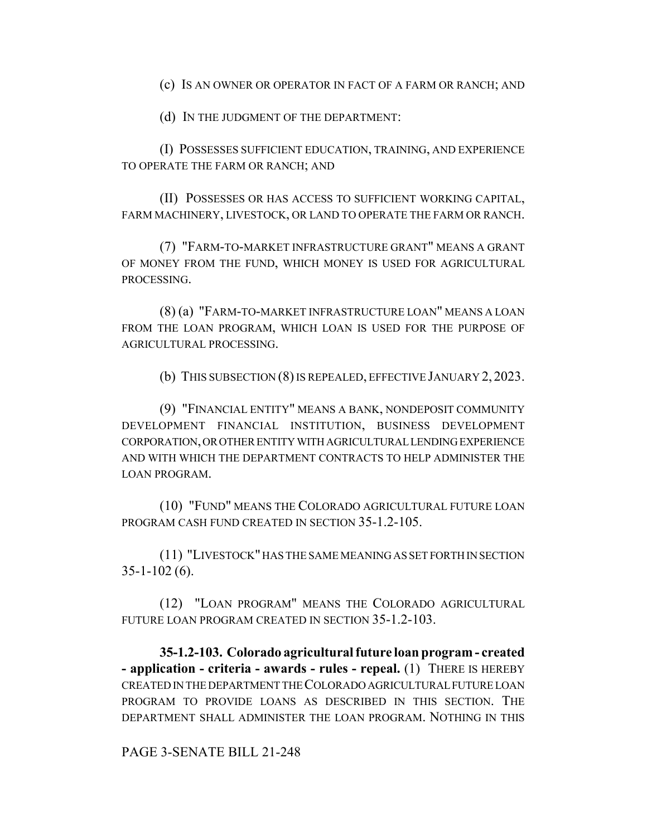(c) IS AN OWNER OR OPERATOR IN FACT OF A FARM OR RANCH; AND

(d) IN THE JUDGMENT OF THE DEPARTMENT:

(I) POSSESSES SUFFICIENT EDUCATION, TRAINING, AND EXPERIENCE TO OPERATE THE FARM OR RANCH; AND

(II) POSSESSES OR HAS ACCESS TO SUFFICIENT WORKING CAPITAL, FARM MACHINERY, LIVESTOCK, OR LAND TO OPERATE THE FARM OR RANCH.

(7) "FARM-TO-MARKET INFRASTRUCTURE GRANT" MEANS A GRANT OF MONEY FROM THE FUND, WHICH MONEY IS USED FOR AGRICULTURAL PROCESSING.

(8) (a) "FARM-TO-MARKET INFRASTRUCTURE LOAN" MEANS A LOAN FROM THE LOAN PROGRAM, WHICH LOAN IS USED FOR THE PURPOSE OF AGRICULTURAL PROCESSING.

(b) THIS SUBSECTION (8) IS REPEALED, EFFECTIVE JANUARY 2, 2023.

(9) "FINANCIAL ENTITY" MEANS A BANK, NONDEPOSIT COMMUNITY DEVELOPMENT FINANCIAL INSTITUTION, BUSINESS DEVELOPMENT CORPORATION, OR OTHER ENTITY WITH AGRICULTURAL LENDING EXPERIENCE AND WITH WHICH THE DEPARTMENT CONTRACTS TO HELP ADMINISTER THE LOAN PROGRAM.

(10) "FUND" MEANS THE COLORADO AGRICULTURAL FUTURE LOAN PROGRAM CASH FUND CREATED IN SECTION 35-1.2-105.

(11) "LIVESTOCK" HAS THE SAME MEANING AS SET FORTH IN SECTION  $35-1-102(6)$ .

(12) "LOAN PROGRAM" MEANS THE COLORADO AGRICULTURAL FUTURE LOAN PROGRAM CREATED IN SECTION 35-1.2-103.

**35-1.2-103. Colorado agricultural future loan program - created - application - criteria - awards - rules - repeal.** (1) THERE IS HEREBY CREATED IN THE DEPARTMENT THE COLORADO AGRICULTURAL FUTURE LOAN PROGRAM TO PROVIDE LOANS AS DESCRIBED IN THIS SECTION. THE DEPARTMENT SHALL ADMINISTER THE LOAN PROGRAM. NOTHING IN THIS

PAGE 3-SENATE BILL 21-248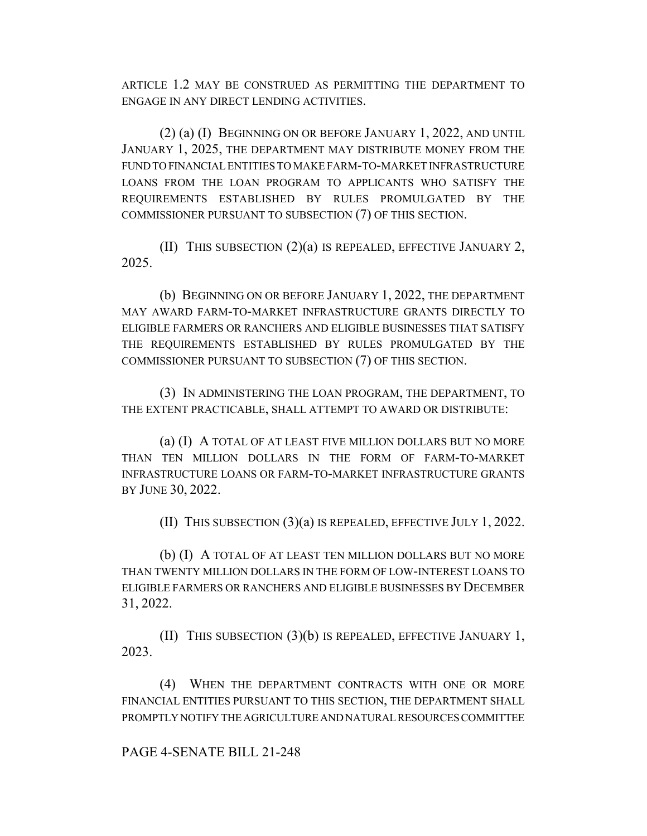ARTICLE 1.2 MAY BE CONSTRUED AS PERMITTING THE DEPARTMENT TO ENGAGE IN ANY DIRECT LENDING ACTIVITIES.

(2) (a) (I) BEGINNING ON OR BEFORE JANUARY 1, 2022, AND UNTIL JANUARY 1, 2025, THE DEPARTMENT MAY DISTRIBUTE MONEY FROM THE FUND TO FINANCIAL ENTITIES TO MAKE FARM-TO-MARKET INFRASTRUCTURE LOANS FROM THE LOAN PROGRAM TO APPLICANTS WHO SATISFY THE REQUIREMENTS ESTABLISHED BY RULES PROMULGATED BY THE COMMISSIONER PURSUANT TO SUBSECTION (7) OF THIS SECTION.

(II) THIS SUBSECTION (2)(a) IS REPEALED, EFFECTIVE JANUARY 2, 2025.

(b) BEGINNING ON OR BEFORE JANUARY 1, 2022, THE DEPARTMENT MAY AWARD FARM-TO-MARKET INFRASTRUCTURE GRANTS DIRECTLY TO ELIGIBLE FARMERS OR RANCHERS AND ELIGIBLE BUSINESSES THAT SATISFY THE REQUIREMENTS ESTABLISHED BY RULES PROMULGATED BY THE COMMISSIONER PURSUANT TO SUBSECTION (7) OF THIS SECTION.

(3) IN ADMINISTERING THE LOAN PROGRAM, THE DEPARTMENT, TO THE EXTENT PRACTICABLE, SHALL ATTEMPT TO AWARD OR DISTRIBUTE:

(a) (I) A TOTAL OF AT LEAST FIVE MILLION DOLLARS BUT NO MORE THAN TEN MILLION DOLLARS IN THE FORM OF FARM-TO-MARKET INFRASTRUCTURE LOANS OR FARM-TO-MARKET INFRASTRUCTURE GRANTS BY JUNE 30, 2022.

(II) THIS SUBSECTION (3)(a) IS REPEALED, EFFECTIVE JULY 1, 2022.

(b) (I) A TOTAL OF AT LEAST TEN MILLION DOLLARS BUT NO MORE THAN TWENTY MILLION DOLLARS IN THE FORM OF LOW-INTEREST LOANS TO ELIGIBLE FARMERS OR RANCHERS AND ELIGIBLE BUSINESSES BY DECEMBER 31, 2022.

(II) THIS SUBSECTION (3)(b) IS REPEALED, EFFECTIVE JANUARY 1, 2023.

(4) WHEN THE DEPARTMENT CONTRACTS WITH ONE OR MORE FINANCIAL ENTITIES PURSUANT TO THIS SECTION, THE DEPARTMENT SHALL PROMPTLY NOTIFY THE AGRICULTURE AND NATURAL RESOURCES COMMITTEE

## PAGE 4-SENATE BILL 21-248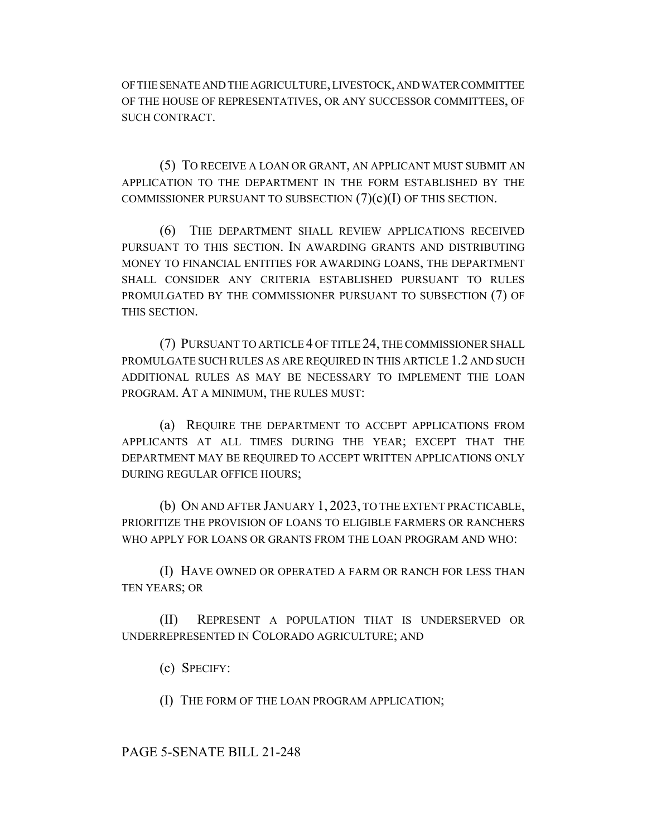OF THE SENATE AND THE AGRICULTURE, LIVESTOCK, AND WATER COMMITTEE OF THE HOUSE OF REPRESENTATIVES, OR ANY SUCCESSOR COMMITTEES, OF SUCH CONTRACT.

(5) TO RECEIVE A LOAN OR GRANT, AN APPLICANT MUST SUBMIT AN APPLICATION TO THE DEPARTMENT IN THE FORM ESTABLISHED BY THE COMMISSIONER PURSUANT TO SUBSECTION  $(7)(c)(I)$  OF THIS SECTION.

(6) THE DEPARTMENT SHALL REVIEW APPLICATIONS RECEIVED PURSUANT TO THIS SECTION. IN AWARDING GRANTS AND DISTRIBUTING MONEY TO FINANCIAL ENTITIES FOR AWARDING LOANS, THE DEPARTMENT SHALL CONSIDER ANY CRITERIA ESTABLISHED PURSUANT TO RULES PROMULGATED BY THE COMMISSIONER PURSUANT TO SUBSECTION (7) OF THIS SECTION.

(7) PURSUANT TO ARTICLE 4 OF TITLE 24, THE COMMISSIONER SHALL PROMULGATE SUCH RULES AS ARE REQUIRED IN THIS ARTICLE 1.2 AND SUCH ADDITIONAL RULES AS MAY BE NECESSARY TO IMPLEMENT THE LOAN PROGRAM. AT A MINIMUM, THE RULES MUST:

(a) REQUIRE THE DEPARTMENT TO ACCEPT APPLICATIONS FROM APPLICANTS AT ALL TIMES DURING THE YEAR; EXCEPT THAT THE DEPARTMENT MAY BE REQUIRED TO ACCEPT WRITTEN APPLICATIONS ONLY DURING REGULAR OFFICE HOURS;

(b) ON AND AFTER JANUARY 1, 2023, TO THE EXTENT PRACTICABLE, PRIORITIZE THE PROVISION OF LOANS TO ELIGIBLE FARMERS OR RANCHERS WHO APPLY FOR LOANS OR GRANTS FROM THE LOAN PROGRAM AND WHO:

(I) HAVE OWNED OR OPERATED A FARM OR RANCH FOR LESS THAN TEN YEARS; OR

(II) REPRESENT A POPULATION THAT IS UNDERSERVED OR UNDERREPRESENTED IN COLORADO AGRICULTURE; AND

(c) SPECIFY:

(I) THE FORM OF THE LOAN PROGRAM APPLICATION;

### PAGE 5-SENATE BILL 21-248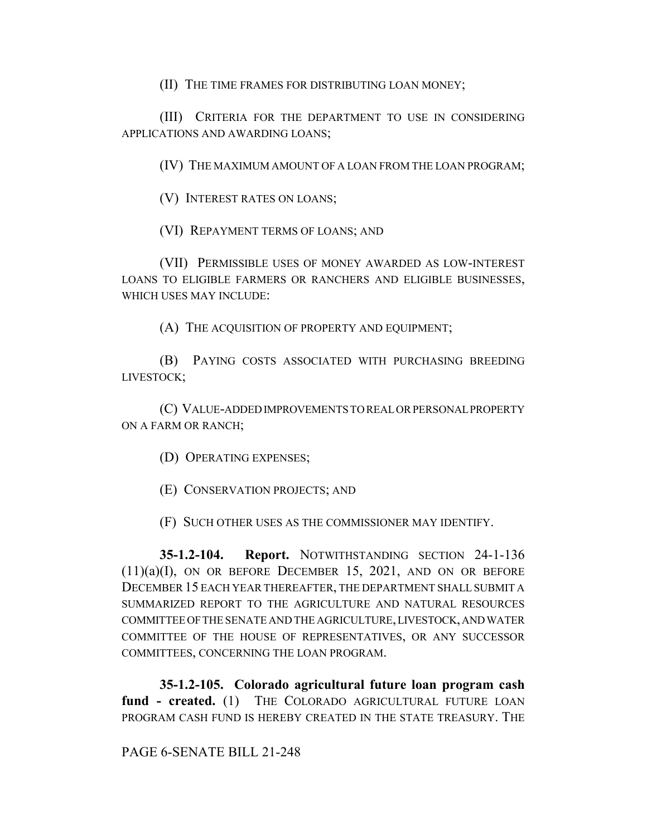(II) THE TIME FRAMES FOR DISTRIBUTING LOAN MONEY;

(III) CRITERIA FOR THE DEPARTMENT TO USE IN CONSIDERING APPLICATIONS AND AWARDING LOANS;

(IV) THE MAXIMUM AMOUNT OF A LOAN FROM THE LOAN PROGRAM;

(V) INTEREST RATES ON LOANS;

(VI) REPAYMENT TERMS OF LOANS; AND

(VII) PERMISSIBLE USES OF MONEY AWARDED AS LOW-INTEREST LOANS TO ELIGIBLE FARMERS OR RANCHERS AND ELIGIBLE BUSINESSES, WHICH USES MAY INCLUDE:

(A) THE ACQUISITION OF PROPERTY AND EQUIPMENT;

(B) PAYING COSTS ASSOCIATED WITH PURCHASING BREEDING LIVESTOCK;

(C) VALUE-ADDED IMPROVEMENTS TO REAL OR PERSONAL PROPERTY ON A FARM OR RANCH;

(D) OPERATING EXPENSES;

(E) CONSERVATION PROJECTS; AND

(F) SUCH OTHER USES AS THE COMMISSIONER MAY IDENTIFY.

**35-1.2-104. Report.** NOTWITHSTANDING SECTION 24-1-136  $(11)(a)(I)$ , ON OR BEFORE DECEMBER 15, 2021, AND ON OR BEFORE DECEMBER 15 EACH YEAR THEREAFTER, THE DEPARTMENT SHALL SUBMIT A SUMMARIZED REPORT TO THE AGRICULTURE AND NATURAL RESOURCES COMMITTEE OF THE SENATE AND THE AGRICULTURE, LIVESTOCK, AND WATER COMMITTEE OF THE HOUSE OF REPRESENTATIVES, OR ANY SUCCESSOR COMMITTEES, CONCERNING THE LOAN PROGRAM.

**35-1.2-105. Colorado agricultural future loan program cash fund - created.** (1) THE COLORADO AGRICULTURAL FUTURE LOAN PROGRAM CASH FUND IS HEREBY CREATED IN THE STATE TREASURY. THE

## PAGE 6-SENATE BILL 21-248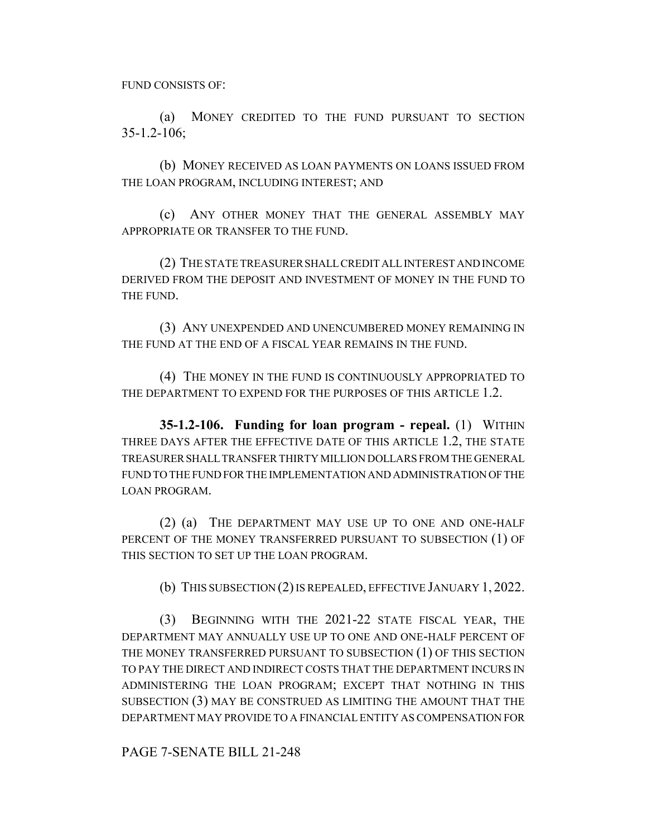FUND CONSISTS OF:

(a) MONEY CREDITED TO THE FUND PURSUANT TO SECTION 35-1.2-106;

(b) MONEY RECEIVED AS LOAN PAYMENTS ON LOANS ISSUED FROM THE LOAN PROGRAM, INCLUDING INTEREST; AND

(c) ANY OTHER MONEY THAT THE GENERAL ASSEMBLY MAY APPROPRIATE OR TRANSFER TO THE FUND.

(2) THE STATE TREASURER SHALL CREDIT ALL INTEREST AND INCOME DERIVED FROM THE DEPOSIT AND INVESTMENT OF MONEY IN THE FUND TO THE FUND.

(3) ANY UNEXPENDED AND UNENCUMBERED MONEY REMAINING IN THE FUND AT THE END OF A FISCAL YEAR REMAINS IN THE FUND.

(4) THE MONEY IN THE FUND IS CONTINUOUSLY APPROPRIATED TO THE DEPARTMENT TO EXPEND FOR THE PURPOSES OF THIS ARTICLE 1.2.

**35-1.2-106. Funding for loan program - repeal.** (1) WITHIN THREE DAYS AFTER THE EFFECTIVE DATE OF THIS ARTICLE 1.2, THE STATE TREASURER SHALL TRANSFER THIRTY MILLION DOLLARS FROM THE GENERAL FUND TO THE FUND FOR THE IMPLEMENTATION AND ADMINISTRATION OF THE LOAN PROGRAM.

(2) (a) THE DEPARTMENT MAY USE UP TO ONE AND ONE-HALF PERCENT OF THE MONEY TRANSFERRED PURSUANT TO SUBSECTION (1) OF THIS SECTION TO SET UP THE LOAN PROGRAM.

(b) THIS SUBSECTION (2) IS REPEALED, EFFECTIVE JANUARY 1, 2022.

(3) BEGINNING WITH THE 2021-22 STATE FISCAL YEAR, THE DEPARTMENT MAY ANNUALLY USE UP TO ONE AND ONE-HALF PERCENT OF THE MONEY TRANSFERRED PURSUANT TO SUBSECTION (1) OF THIS SECTION TO PAY THE DIRECT AND INDIRECT COSTS THAT THE DEPARTMENT INCURS IN ADMINISTERING THE LOAN PROGRAM; EXCEPT THAT NOTHING IN THIS SUBSECTION (3) MAY BE CONSTRUED AS LIMITING THE AMOUNT THAT THE DEPARTMENT MAY PROVIDE TO A FINANCIAL ENTITY AS COMPENSATION FOR

PAGE 7-SENATE BILL 21-248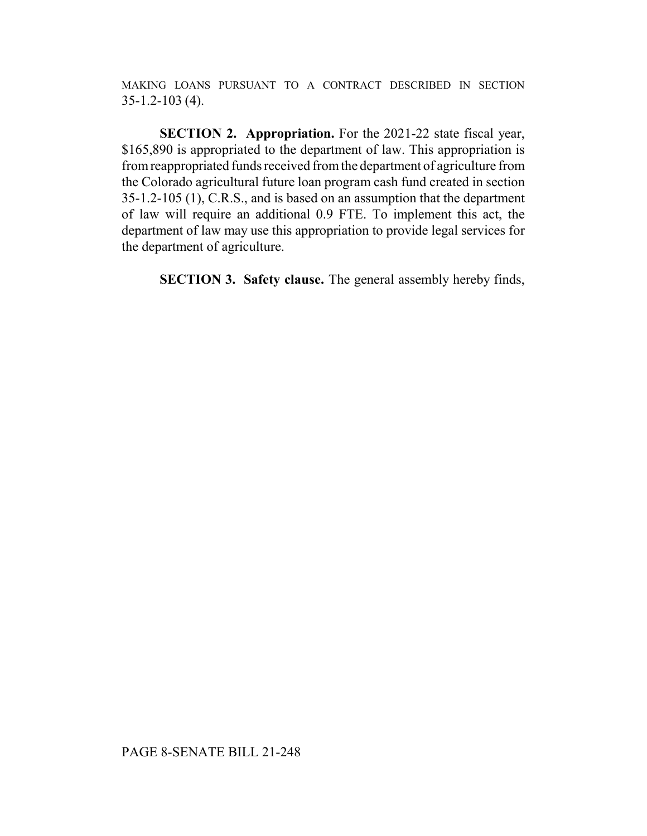MAKING LOANS PURSUANT TO A CONTRACT DESCRIBED IN SECTION 35-1.2-103 (4).

**SECTION 2. Appropriation.** For the 2021-22 state fiscal year, \$165,890 is appropriated to the department of law. This appropriation is from reappropriated funds received from the department of agriculture from the Colorado agricultural future loan program cash fund created in section 35-1.2-105 (1), C.R.S., and is based on an assumption that the department of law will require an additional 0.9 FTE. To implement this act, the department of law may use this appropriation to provide legal services for the department of agriculture.

**SECTION 3. Safety clause.** The general assembly hereby finds,